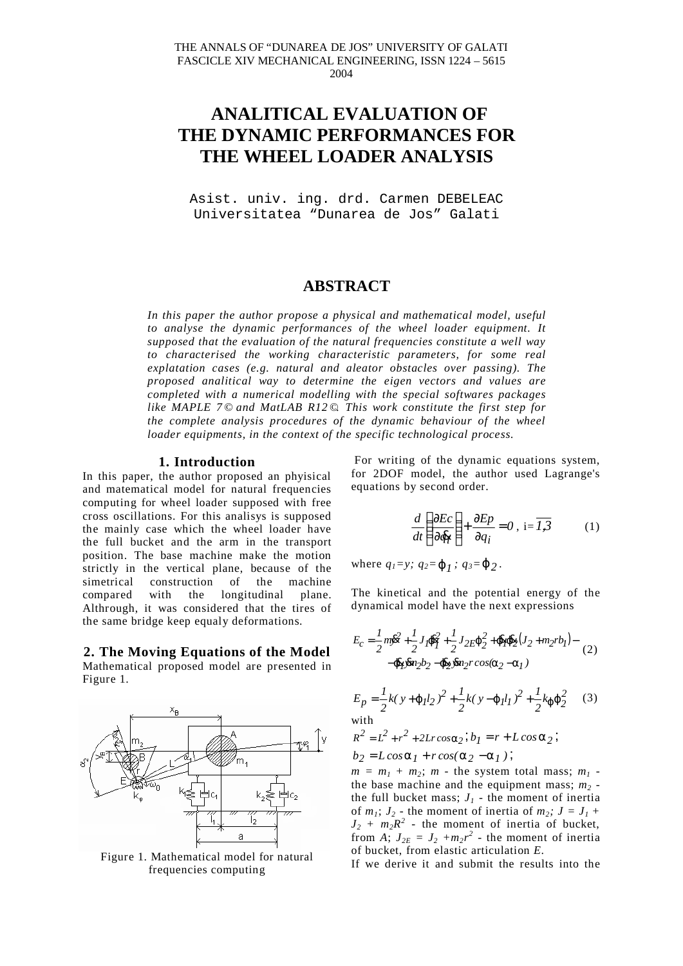# **ANALITICAL EVALUATION OF THE DYNAMIC PERFORMANCES FOR THE WHEEL LOADER ANALYSIS**

Asist. univ. ing. drd. Carmen DEBELEAC Universitatea "Dunarea de Jos" Galati

# **ABSTRACT**

*In this paper the author propose a physical and mathematical model, useful to analyse the dynamic performances of the wheel loader equipment. It supposed that the evaluation of the natural frequencies constitute a well way to characterised the working characteristic parameters, for some real explatation cases (e.g. natural and aleator obstacles over passing). The proposed analitical way to determine the eigen vectors and values are completed with a numerical modelling with the special softwares packages like MAPLE 7 © and MatLAB R12 ©. This work constitute the first step for the complete analysis procedures of the dynamic behaviour of the wheel loader equipments, in the context of the specific technological process.*

#### **1. Introduction**

In this paper, the author proposed an phyisical and matematical model for natural frequencies computing for wheel loader supposed with free cross oscillations. For this analisys is supposed the mainly case which the wheel loader have the full bucket and the arm in the transport position. The base machine make the motion strictly in the vertical plane, because of the simetrical construction of the machine compared with the longitudinal plane. Althrough, it was considered that the tires of the same bridge keep equaly deformations.

## **2. The Moving Equations of the Model**

Mathematical proposed model are presented in Figure 1.



Figure 1. Mathematical model for natural frequencies computing

For writing of the dynamic equations system, for 2DOF model, the author used Lagrange's equations by second order.

$$
\frac{d}{dt} \left( \frac{\partial Ec}{\partial \dot{q}_i} \right) + \frac{\partial Ep}{\partial q_i} = 0, \ i = \overline{I,3} \tag{1}
$$

where  $q_1 = y$ ;  $q_2 = \phi_1$ ;  $q_3 = \phi_2$ .

The kinetical and the potential energy of the dynamical model have the next expressions

$$
E_C = \frac{1}{2}m\bar{y}^2 + \frac{1}{2}J_I\bar{\phi}_I^2 + \frac{1}{2}J_{2E}\phi_2^2 + \bar{\phi}_I\bar{\phi}_2(J_2 + m_2rb_I) -
$$
  
- $\bar{\phi}_I\bar{y}m_2b_2 - \bar{\phi}_2\bar{y}m_2rcos(\alpha_2 - \alpha_1)$  (2)

$$
E_p = \frac{1}{2}k(y + \varphi_l l_2)^2 + \frac{1}{2}k(y - \varphi_l l_1)^2 + \frac{1}{2}k_{\varphi}\varphi_2^2
$$
 (3)  
with  

$$
R^2 = L^2 + r^2 + 2Lr\cos\alpha_2; b_1 = r + L\cos\alpha_2;
$$
  

$$
b_2 = L\cos\alpha_1 + r\cos(\alpha_2 - \alpha_1);
$$

 $m = m<sub>1</sub> + m<sub>2</sub>; m$  - the system total mass;  $m<sub>1</sub>$  the base machine and the equipment mass;  $m<sub>2</sub>$  the full bucket mass;  $J_1$  - the moment of inertia of  $m_1$ ;  $J_2$  - the moment of inertia of  $m_2$ ;  $J = J_1 +$  $J_2 + m_2 R^2$  - the moment of inertia of bucket, from *A*;  $J_{2E} = J_2 + m_2 r^2$  - the moment of inertia of bucket, from elastic articulation *E*.

If we derive it and submit the results into the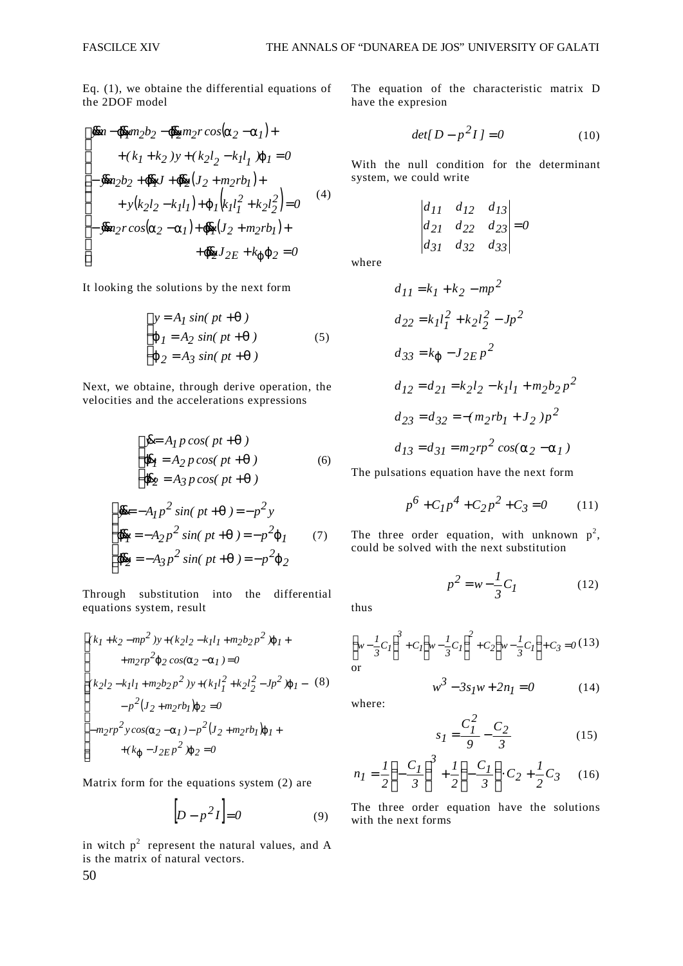Eq. (1), we obtaine the differential equations of the 2DOF model

$$
\begin{cases}\n\bar{y}_m - \bar{\phi}_1 m_2 b_2 - \bar{\phi}_2 m_2 r \cos(\alpha_2 - \alpha_1) +\n+ (k_1 + k_2) y + (k_2 l_2 - k_l l_1) \varphi_l = 0 \\
-\bar{y}_m_2 b_2 + \bar{\phi}_1 J + \bar{\phi}_2 (J_2 + m_2 r b_1) +\n+ y (k_2 l_2 - k_l l_1) + \varphi_l (k_l l_1^2 + k_2 l_2^2) = 0\n\end{cases}
$$
\n
$$
\begin{cases}\n- \bar{y}_m \cos(\alpha_2 - \alpha_1) + \bar{\phi}_1 (J_2 + m_2 r b_1) +\n+ \bar{\phi}_2 J_{2E} + k_{\varphi} \varphi_2 = 0\n\end{cases}
$$
\n(4)

It looking the solutions by the next form

$$
\begin{cases}\ny = A_I \sin(\, pt + \theta \,) \\
\varphi_I = A_2 \sin(\, pt + \theta \,) \\
\varphi_2 = A_3 \sin(\, pt + \theta \,) \n\end{cases} \tag{5}
$$

Next, we obtaine, through derive operation, the velocities and the accelerations expressions

$$
\begin{cases}\n\bar{y} = A_I p \cos(\ p t + \theta ) \\
\bar{\phi}_I = A_2 p \cos(\ p t + \theta ) \\
\bar{\phi}_2 = A_3 p \cos(\ p t + \theta )\n\end{cases}
$$
\n(6)\n
$$
\begin{cases}\n\bar{y} = -A_I p^2 \sin(\ p t + \theta ) = -p^2 y\n\end{cases}
$$

$$
\oint_{\phi_1}^{\phi_2} \frac{\partial^2 f}{\partial x^2} \sin(p t + \theta) = -p^2 \phi_1 \qquad (7)
$$
  

$$
\oint_{\phi_2}^{\phi_1} \frac{\partial^2 f}{\partial y^2} \sin(p t + \theta) = -p^2 \phi_2
$$

Through substitution into the differential equations system, result

$$
\begin{cases}\n(k_1 + k_2 - mp^2)y + (k_2l_2 - k_1l_1 + m_2b_2p^2)\varphi_1 +\n+ m_2rp^2\varphi_2 \cos(\alpha_2 - \alpha_1) = 0 \\
(k_2l_2 - k_1l_1 + m_2b_2p^2)y + (k_1l_1^2 + k_2l_2^2 - Jp^2)\varphi_1 - (8) \\
- p^2(J_2 + m_2rb_1)\varphi_2 = 0 \\
-m_2rp^2y\cos(\alpha_2 - \alpha_1) - p^2(J_2 + m_2rb_1)\varphi_1 +\n+ (k_{\varphi} - J_{2EP}^2)\varphi_2 = 0\n\end{cases}
$$

Matrix form for the equations system (2) are

$$
\left[D - p^2 I\right] = 0\tag{9}
$$

in witch  $p^2$  represent the natural values, and A is the matrix of natural vectors.

The equation of the characteristic matrix D have the expresion

$$
det[D - p^2 I] = 0 \tag{10}
$$

With the null condition for the determinant system, we could write

$$
\begin{vmatrix} d_{11} & d_{12} & d_{13} \\ d_{21} & d_{22} & d_{23} \\ d_{31} & d_{32} & d_{33} \end{vmatrix} = 0
$$

where

$$
d_{11} = k_1 + k_2 - mp^2
$$
  
\n
$$
d_{22} = k_1 l_1^2 + k_2 l_2^2 - Jp^2
$$
  
\n
$$
d_{33} = k_{\varphi} - J_{2EP}^2
$$
  
\n
$$
d_{12} = d_{21} = k_2 l_2 - k_1 l_1 + m_2 b_2 p^2
$$
  
\n
$$
d_{23} = d_{32} = -(m_2 r b_1 + J_2) p^2
$$
  
\n
$$
d_{13} = d_{31} = m_2 r p^2 \cos(\alpha_2 - \alpha_1)
$$

The pulsations equation have the next form

$$
p^{6} + C_{1}p^{4} + C_{2}p^{2} + C_{3} = 0 \qquad (11)
$$

 $p^2 = w - \frac{1}{2}C_I$  (12)

The three order equation, with unknown  $p^2$ , could be solved with the next substitution

> $2 = w - \frac{I}{2}C_I$ *3*

thus

$$
\left(w - \frac{1}{3}C_I\right)^3 + C_I \left(w - \frac{1}{3}C_I\right)^2 + C_2 \left(w - \frac{1}{3}C_I\right) + C_3 = 0
$$
 (13)  
or  

$$
w^3 - 3s_I w + 2n_I = 0
$$
 (14)

where:

$$
s_I = \frac{C_I^2}{9} - \frac{C_2}{3} \tag{15}
$$

$$
n_I = \frac{1}{2} \left( -\frac{C_I}{3} \right)^3 + \frac{1}{2} \left( -\frac{C_I}{3} \right) \cdot C_2 + \frac{1}{2} C_3 \tag{16}
$$

The three order equation have the solutions with the next forms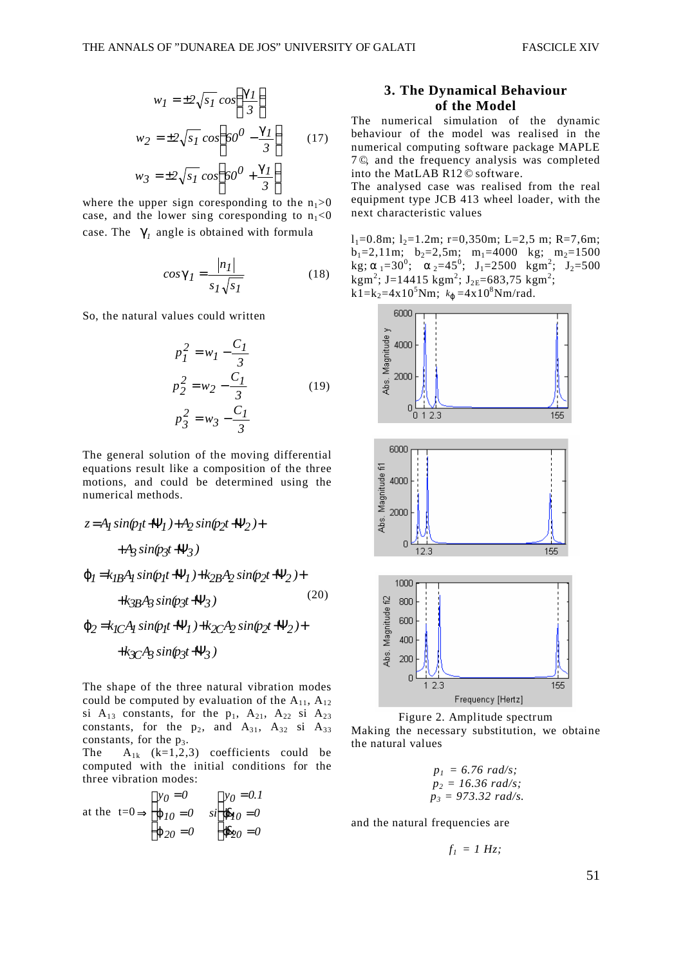$$
w_I = \pm 2\sqrt{s_I} \cos\left(\frac{\gamma_I}{3}\right)
$$
  
\n
$$
w_2 = \pm 2\sqrt{s_I} \cos\left(60^\circ - \frac{\gamma_I}{3}\right)
$$
 (17)  
\n
$$
w_3 = \pm 2\sqrt{s_I} \cos\left(60^\circ + \frac{\gamma_I}{3}\right)
$$

where the upper sign coresponding to the  $n_1>0$ case, and the lower sing coresponding to  $n_1<0$ case. The  $\gamma_1$  angle is obtained with formula

$$
cos\gamma_I = \frac{|n_I|}{s_I \sqrt{s_I}}
$$
 (18)

So, the natural values could written

$$
p_1^2 = w_1 - \frac{C_1}{3}
$$
  
\n
$$
p_2^2 = w_2 - \frac{C_1}{3}
$$
 (19)  
\n
$$
p_3^2 = w_3 - \frac{C_1}{3}
$$

The general solution of the moving differential equations result like a composition of the three motions, and could be determined using the numerical methods.

$$
z = A_1 \sin(p_1 t + Y_1) + A_2 \sin(p_2 t + Y_2) +
$$
  
+ 
$$
A_3 \sin(p_3 t + Y_3)
$$
  

$$
\varphi_1 = k_{IB} A_1 \sin(p_1 t + Y_1) + k_{2B} A_2 \sin(p_2 t + Y_2) +
$$
  
+ 
$$
k_{3B} A_3 \sin(p_3 t + Y_3)
$$
 (20)

*+k*<sub>3C</sub>A<sub>3</sub> sin(p3t+Ψ<sub>3</sub>)</sub>  $\varphi_2 = k_I C A_I \sin(p_I t + \Psi_I) + k_2 C A_2 \sin(p_2 t + \Psi_2) +$ 

The shape of the three natural vibration modes could be computed by evaluation of the  $A_{11}$ ,  $A_{12}$ si  $A_{13}$  constants, for the  $p_1$ ,  $A_{21}$ ,  $A_{22}$  si  $A_{23}$ constants, for the  $p_2$ , and  $A_{31}$ ,  $A_{32}$  si  $A_{33}$ constants, for the  $p_3$ .

The  $A_{1k}$  (k=1,2,3) coefficients could be computed with the initial conditions for the three vibration modes:

at the 
$$
t=0 \Rightarrow \begin{cases} y_0 = 0 \\ \varphi_{10} = 0 \\ \varphi_{20} = 0 \end{cases}
$$
  $si \begin{cases} y_0 = 0.1 \\ \varphi_{10} = 0 \\ \varphi_{20} = 0 \end{cases}$ 

# **of the Model**

The numerical simulation of the dynamic behaviour of the model was realised in the numerical computing software package MAPLE 7 ©, and the frequency analysis was completed into the MatLAB R12 © software.

The analysed case was realised from the real equipment type JCB 413 wheel loader, with the next characteristic values

 $l_1=0.8m$ ;  $l_2=1.2m$ ; r=0,350m; L=2,5 m; R=7,6m;  $b_1=2,11m$ ;  $b_2=2,5m$ ;  $m_1=4000$  kg;  $m_2=1500$ kg;  $\alpha_1 = 30^\circ$ ;  $\alpha_2 = 45^\circ$ ;  $J_1 = 2500$  kgm<sup>2</sup>;  $J_2 = 500$  $kgm^2$ ; J=14415 kgm<sup>2</sup>; J<sub>2E</sub>=683,75 kgm<sup>2</sup>;  $k\overline{1} = k_2 = 4 \times 10^5$  Nm;  $k_\varphi = 4 \times 10^8$  Nm/rad.





Making the necessary substitution, we obtaine the natural values

$$
p_1 = 6.76 \text{ rad/s};
$$
  
\n
$$
p_2 = 16.36 \text{ rad/s};
$$
  
\n
$$
p_3 = 973.32 \text{ rad/s}.
$$

and the natural frequencies are

$$
f_I = I Hz;
$$